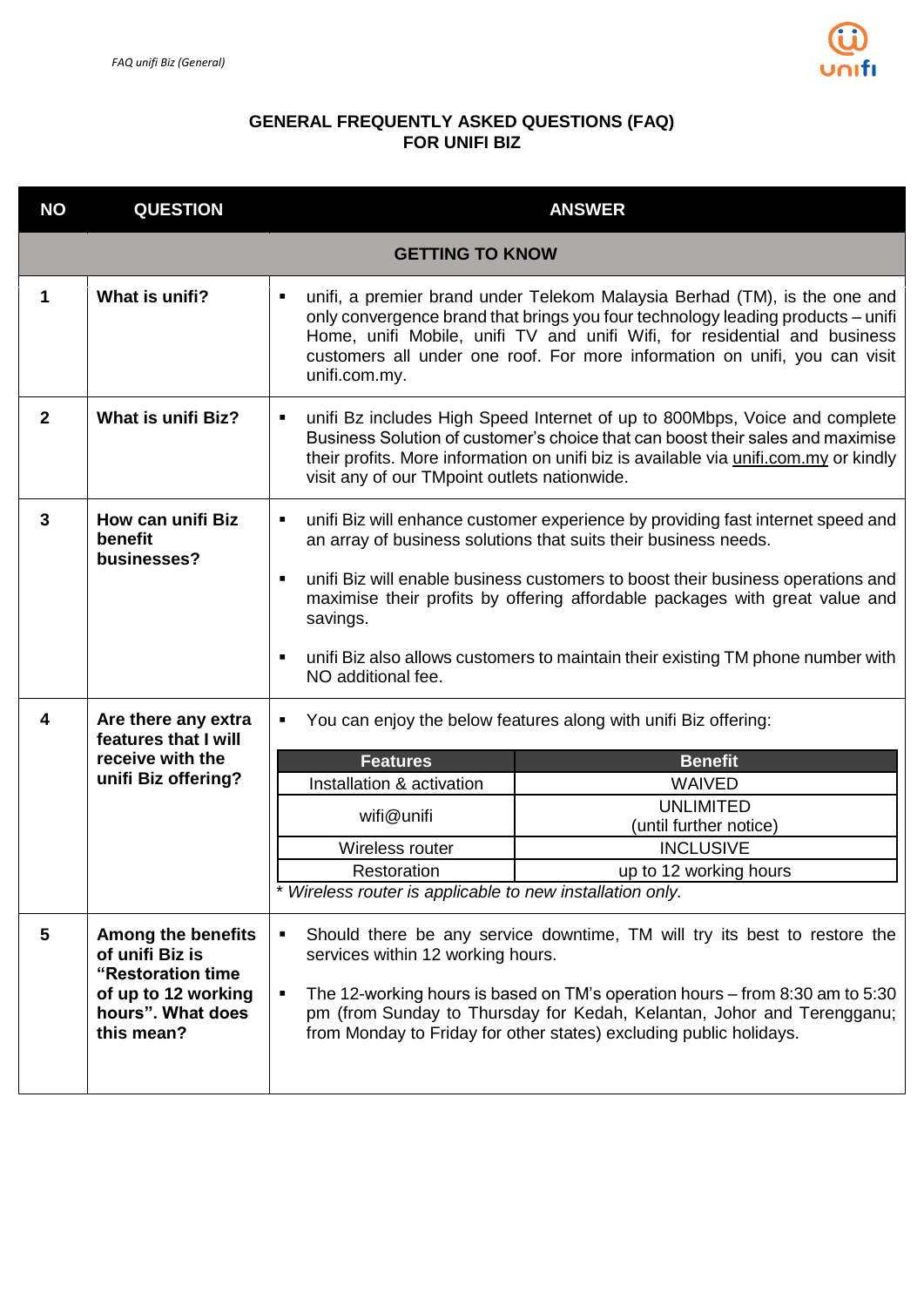

## **GENERAL FREQUENTLY ASKED QUESTIONS (FAQ) FOR UNIFI BIZ**

| <b>NO</b>    | <b>QUESTION</b>                                                                                                             |                                                                                                                                                                                                                                                                                                                                                          | <b>ANSWER</b>                                                                                                                                                                                                                                                                                                                                                                                           |
|--------------|-----------------------------------------------------------------------------------------------------------------------------|----------------------------------------------------------------------------------------------------------------------------------------------------------------------------------------------------------------------------------------------------------------------------------------------------------------------------------------------------------|---------------------------------------------------------------------------------------------------------------------------------------------------------------------------------------------------------------------------------------------------------------------------------------------------------------------------------------------------------------------------------------------------------|
|              |                                                                                                                             | <b>GETTING TO KNOW</b>                                                                                                                                                                                                                                                                                                                                   |                                                                                                                                                                                                                                                                                                                                                                                                         |
| 1            | What is unifi?                                                                                                              | ٠<br>unifi.com.my.                                                                                                                                                                                                                                                                                                                                       | unifi, a premier brand under Telekom Malaysia Berhad (TM), is the one and<br>only convergence brand that brings you four technology leading products - unifi<br>Home, unifi Mobile, unifi TV and unifi Wifi, for residential and business<br>customers all under one roof. For more information on unifi, you can visit                                                                                 |
| $\mathbf{2}$ | What is unifi Biz?                                                                                                          | ٠<br>visit any of our TMpoint outlets nationwide.                                                                                                                                                                                                                                                                                                        | unifi Bz includes High Speed Internet of up to 800Mbps, Voice and complete<br>Business Solution of customer's choice that can boost their sales and maximise<br>their profits. More information on unifi biz is available via unifi.com.my or kindly                                                                                                                                                    |
| 3            | How can unifi Biz<br>benefit<br>businesses?                                                                                 | ٠<br>٠<br>savings.<br>٠<br>NO additional fee.                                                                                                                                                                                                                                                                                                            | unifi Biz will enhance customer experience by providing fast internet speed and<br>an array of business solutions that suits their business needs.<br>unifi Biz will enable business customers to boost their business operations and<br>maximise their profits by offering affordable packages with great value and<br>unifi Biz also allows customers to maintain their existing TM phone number with |
| 4            | Are there any extra<br>features that I will<br>receive with the<br>unifi Biz offering?                                      | ٠<br><b>Features</b><br>Installation & activation<br>wifi@unifi<br>Wireless router<br>Restoration<br>Wireless router is applicable to new installation only.                                                                                                                                                                                             | You can enjoy the below features along with unifi Biz offering:<br><b>Benefit</b><br><b>WAIVED</b><br><b>UNLIMITED</b><br>(until further notice)<br><b>INCLUSIVE</b><br>up to 12 working hours                                                                                                                                                                                                          |
| 5            | <b>Among the benefits</b><br>of unifi Biz is<br>"Restoration time<br>of up to 12 working<br>hours". What does<br>this mean? | Should there be any service downtime, TM will try its best to restore the<br>٠<br>services within 12 working hours.<br>The 12-working hours is based on TM's operation hours – from 8:30 am to 5:30<br>٠<br>pm (from Sunday to Thursday for Kedah, Kelantan, Johor and Terengganu;<br>from Monday to Friday for other states) excluding public holidays. |                                                                                                                                                                                                                                                                                                                                                                                                         |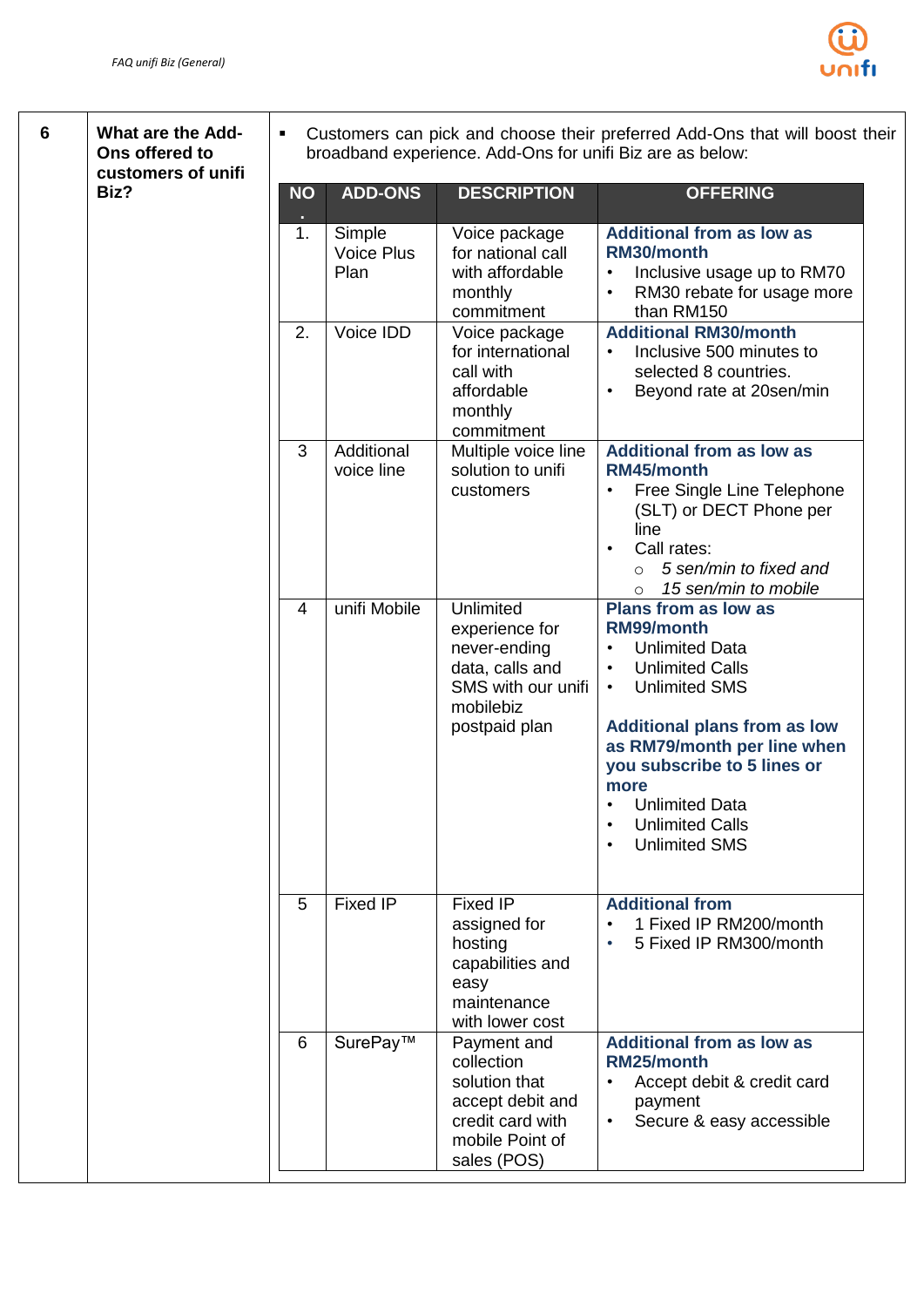

**6 What are the Add-Ons offered to customers of unifi Biz?**

 Customers can pick and choose their preferred Add-Ons that will boost their broadband experience. Add-Ons for unifi Biz are as below:

| <b>NO</b>      | <b>ADD-ONS</b>                      | <b>DESCRIPTION</b>                                                                                                   | <b>OFFERING</b>                                                                                                                                                                                                                                                                                                                                                  |
|----------------|-------------------------------------|----------------------------------------------------------------------------------------------------------------------|------------------------------------------------------------------------------------------------------------------------------------------------------------------------------------------------------------------------------------------------------------------------------------------------------------------------------------------------------------------|
| 1.             | Simple<br><b>Voice Plus</b><br>Plan | Voice package<br>for national call<br>with affordable<br>monthly<br>commitment                                       | <b>Additional from as low as</b><br>RM30/month<br>Inclusive usage up to RM70<br>RM30 rebate for usage more<br>than RM150                                                                                                                                                                                                                                         |
| 2.             | Voice IDD                           | Voice package<br>for international<br>call with<br>affordable<br>monthly<br>commitment                               | <b>Additional RM30/month</b><br>Inclusive 500 minutes to<br>$\bullet$<br>selected 8 countries.<br>Beyond rate at 20sen/min                                                                                                                                                                                                                                       |
| 3              | Additional<br>voice line            | Multiple voice line<br>solution to unifi<br>customers                                                                | <b>Additional from as low as</b><br>RM45/month<br>Free Single Line Telephone<br>(SLT) or DECT Phone per<br>line<br>Call rates:<br>5 sen/min to fixed and<br>$\circ$<br>15 sen/min to mobile<br>$\circ$                                                                                                                                                           |
| $\overline{4}$ | unifi Mobile                        | Unlimited<br>experience for<br>never-ending<br>data, calls and<br>SMS with our unifi<br>mobilebiz<br>postpaid plan   | <b>Plans from as low as</b><br>RM99/month<br><b>Unlimited Data</b><br><b>Unlimited Calls</b><br>$\bullet$<br><b>Unlimited SMS</b><br>$\bullet$<br><b>Additional plans from as low</b><br>as RM79/month per line when<br>you subscribe to 5 lines or<br>more<br><b>Unlimited Data</b><br>$\bullet$<br><b>Unlimited Calls</b><br>$\bullet$<br><b>Unlimited SMS</b> |
| 5              | Fixed IP                            | Fixed IP<br>assigned for<br>hosting<br>capabilities and<br>easy<br>maintenance<br>with lower cost                    | <b>Additional from</b><br>1 Fixed IP RM200/month<br>5 Fixed IP RM300/month                                                                                                                                                                                                                                                                                       |
| 6              | SurePay™                            | Payment and<br>collection<br>solution that<br>accept debit and<br>credit card with<br>mobile Point of<br>sales (POS) | <b>Additional from as low as</b><br>RM25/month<br>Accept debit & credit card<br>payment<br>Secure & easy accessible                                                                                                                                                                                                                                              |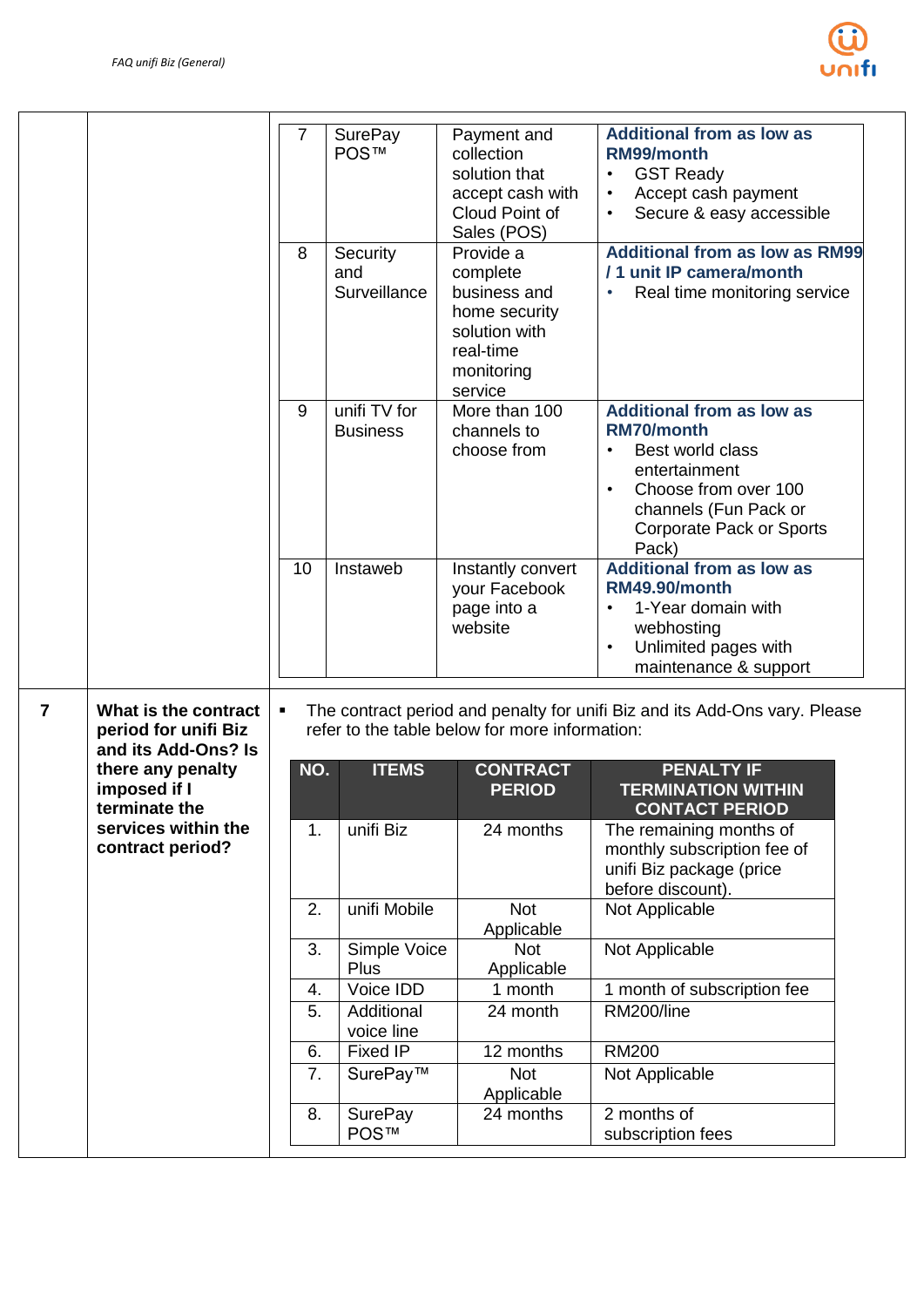

| <b>Additional from as low as</b><br>SurePay<br>7<br>Payment and<br><b>POS™</b><br>collection<br>RM99/month<br>solution that<br><b>GST Ready</b><br>$\bullet$<br>Accept cash payment<br>accept cash with<br>$\bullet$<br>Cloud Point of<br>Secure & easy accessible<br>$\bullet$<br>Sales (POS)<br><b>Additional from as low as RM99</b><br>8<br>Provide a<br>Security<br>/ 1 unit IP camera/month<br>and<br>complete<br>Surveillance<br>business and<br>Real time monitoring service<br>home security<br>solution with<br>real-time<br>monitoring<br>service<br>unifi TV for<br>More than 100<br>9<br><b>Additional from as low as</b><br>channels to<br><b>RM70/month</b><br><b>Business</b><br>choose from<br>Best world class<br>entertainment<br>Choose from over 100<br>channels (Fun Pack or<br><b>Corporate Pack or Sports</b><br>Pack)<br><b>Additional from as low as</b><br>10<br>Instaweb<br>Instantly convert<br><b>RM49.90/month</b><br>your Facebook<br>1-Year domain with<br>page into a<br>website<br>webhosting<br>Unlimited pages with<br>$\bullet$<br>maintenance & support<br>$\overline{7}$<br>What is the contract<br>The contract period and penalty for unifi Biz and its Add-Ons vary. Please<br>$\blacksquare$<br>refer to the table below for more information:<br>period for unifi Biz<br>and its Add-Ons? Is<br><b>ITEMS</b><br>there any penalty<br>NO.<br><b>CONTRACT</b><br><b>PENALTY IF</b><br>imposed if I<br><b>PERIOD</b><br><b>TERMINATION WITHIN</b><br>terminate the<br><b>CONTACT PERIOD</b><br>services within the<br>unifi Biz<br>1.<br>24 months<br>The remaining months of<br>contract period?<br>monthly subscription fee of<br>unifi Biz package (price<br>before discount).<br>2.<br>unifi Mobile<br><b>Not</b><br>Not Applicable<br>Applicable<br>Not Applicable<br>3.<br>Simple Voice<br><b>Not</b><br>Applicable<br>Plus<br>Voice IDD<br>1 month of subscription fee<br>1 month<br>4.<br>RM200/line<br>24 month<br>5.<br>Additional<br>voice line<br><b>Fixed IP</b><br>12 months<br><b>RM200</b><br>6.<br>SurePay™<br><b>Not</b><br>Not Applicable<br>7.<br>Applicable<br>8.<br><b>SurePay</b><br>24 months<br>2 months of<br><b>POS™</b><br>subscription fees |  |  |  |  |
|--------------------------------------------------------------------------------------------------------------------------------------------------------------------------------------------------------------------------------------------------------------------------------------------------------------------------------------------------------------------------------------------------------------------------------------------------------------------------------------------------------------------------------------------------------------------------------------------------------------------------------------------------------------------------------------------------------------------------------------------------------------------------------------------------------------------------------------------------------------------------------------------------------------------------------------------------------------------------------------------------------------------------------------------------------------------------------------------------------------------------------------------------------------------------------------------------------------------------------------------------------------------------------------------------------------------------------------------------------------------------------------------------------------------------------------------------------------------------------------------------------------------------------------------------------------------------------------------------------------------------------------------------------------------------------------------------------------------------------------------------------------------------------------------------------------------------------------------------------------------------------------------------------------------------------------------------------------------------------------------------------------------------------------------------------------------------------------------------------------------------------------------------------------------------------------------------------------------|--|--|--|--|
|                                                                                                                                                                                                                                                                                                                                                                                                                                                                                                                                                                                                                                                                                                                                                                                                                                                                                                                                                                                                                                                                                                                                                                                                                                                                                                                                                                                                                                                                                                                                                                                                                                                                                                                                                                                                                                                                                                                                                                                                                                                                                                                                                                                                                    |  |  |  |  |
|                                                                                                                                                                                                                                                                                                                                                                                                                                                                                                                                                                                                                                                                                                                                                                                                                                                                                                                                                                                                                                                                                                                                                                                                                                                                                                                                                                                                                                                                                                                                                                                                                                                                                                                                                                                                                                                                                                                                                                                                                                                                                                                                                                                                                    |  |  |  |  |
|                                                                                                                                                                                                                                                                                                                                                                                                                                                                                                                                                                                                                                                                                                                                                                                                                                                                                                                                                                                                                                                                                                                                                                                                                                                                                                                                                                                                                                                                                                                                                                                                                                                                                                                                                                                                                                                                                                                                                                                                                                                                                                                                                                                                                    |  |  |  |  |
|                                                                                                                                                                                                                                                                                                                                                                                                                                                                                                                                                                                                                                                                                                                                                                                                                                                                                                                                                                                                                                                                                                                                                                                                                                                                                                                                                                                                                                                                                                                                                                                                                                                                                                                                                                                                                                                                                                                                                                                                                                                                                                                                                                                                                    |  |  |  |  |
|                                                                                                                                                                                                                                                                                                                                                                                                                                                                                                                                                                                                                                                                                                                                                                                                                                                                                                                                                                                                                                                                                                                                                                                                                                                                                                                                                                                                                                                                                                                                                                                                                                                                                                                                                                                                                                                                                                                                                                                                                                                                                                                                                                                                                    |  |  |  |  |
|                                                                                                                                                                                                                                                                                                                                                                                                                                                                                                                                                                                                                                                                                                                                                                                                                                                                                                                                                                                                                                                                                                                                                                                                                                                                                                                                                                                                                                                                                                                                                                                                                                                                                                                                                                                                                                                                                                                                                                                                                                                                                                                                                                                                                    |  |  |  |  |
|                                                                                                                                                                                                                                                                                                                                                                                                                                                                                                                                                                                                                                                                                                                                                                                                                                                                                                                                                                                                                                                                                                                                                                                                                                                                                                                                                                                                                                                                                                                                                                                                                                                                                                                                                                                                                                                                                                                                                                                                                                                                                                                                                                                                                    |  |  |  |  |
|                                                                                                                                                                                                                                                                                                                                                                                                                                                                                                                                                                                                                                                                                                                                                                                                                                                                                                                                                                                                                                                                                                                                                                                                                                                                                                                                                                                                                                                                                                                                                                                                                                                                                                                                                                                                                                                                                                                                                                                                                                                                                                                                                                                                                    |  |  |  |  |
|                                                                                                                                                                                                                                                                                                                                                                                                                                                                                                                                                                                                                                                                                                                                                                                                                                                                                                                                                                                                                                                                                                                                                                                                                                                                                                                                                                                                                                                                                                                                                                                                                                                                                                                                                                                                                                                                                                                                                                                                                                                                                                                                                                                                                    |  |  |  |  |
|                                                                                                                                                                                                                                                                                                                                                                                                                                                                                                                                                                                                                                                                                                                                                                                                                                                                                                                                                                                                                                                                                                                                                                                                                                                                                                                                                                                                                                                                                                                                                                                                                                                                                                                                                                                                                                                                                                                                                                                                                                                                                                                                                                                                                    |  |  |  |  |
|                                                                                                                                                                                                                                                                                                                                                                                                                                                                                                                                                                                                                                                                                                                                                                                                                                                                                                                                                                                                                                                                                                                                                                                                                                                                                                                                                                                                                                                                                                                                                                                                                                                                                                                                                                                                                                                                                                                                                                                                                                                                                                                                                                                                                    |  |  |  |  |
|                                                                                                                                                                                                                                                                                                                                                                                                                                                                                                                                                                                                                                                                                                                                                                                                                                                                                                                                                                                                                                                                                                                                                                                                                                                                                                                                                                                                                                                                                                                                                                                                                                                                                                                                                                                                                                                                                                                                                                                                                                                                                                                                                                                                                    |  |  |  |  |
|                                                                                                                                                                                                                                                                                                                                                                                                                                                                                                                                                                                                                                                                                                                                                                                                                                                                                                                                                                                                                                                                                                                                                                                                                                                                                                                                                                                                                                                                                                                                                                                                                                                                                                                                                                                                                                                                                                                                                                                                                                                                                                                                                                                                                    |  |  |  |  |
|                                                                                                                                                                                                                                                                                                                                                                                                                                                                                                                                                                                                                                                                                                                                                                                                                                                                                                                                                                                                                                                                                                                                                                                                                                                                                                                                                                                                                                                                                                                                                                                                                                                                                                                                                                                                                                                                                                                                                                                                                                                                                                                                                                                                                    |  |  |  |  |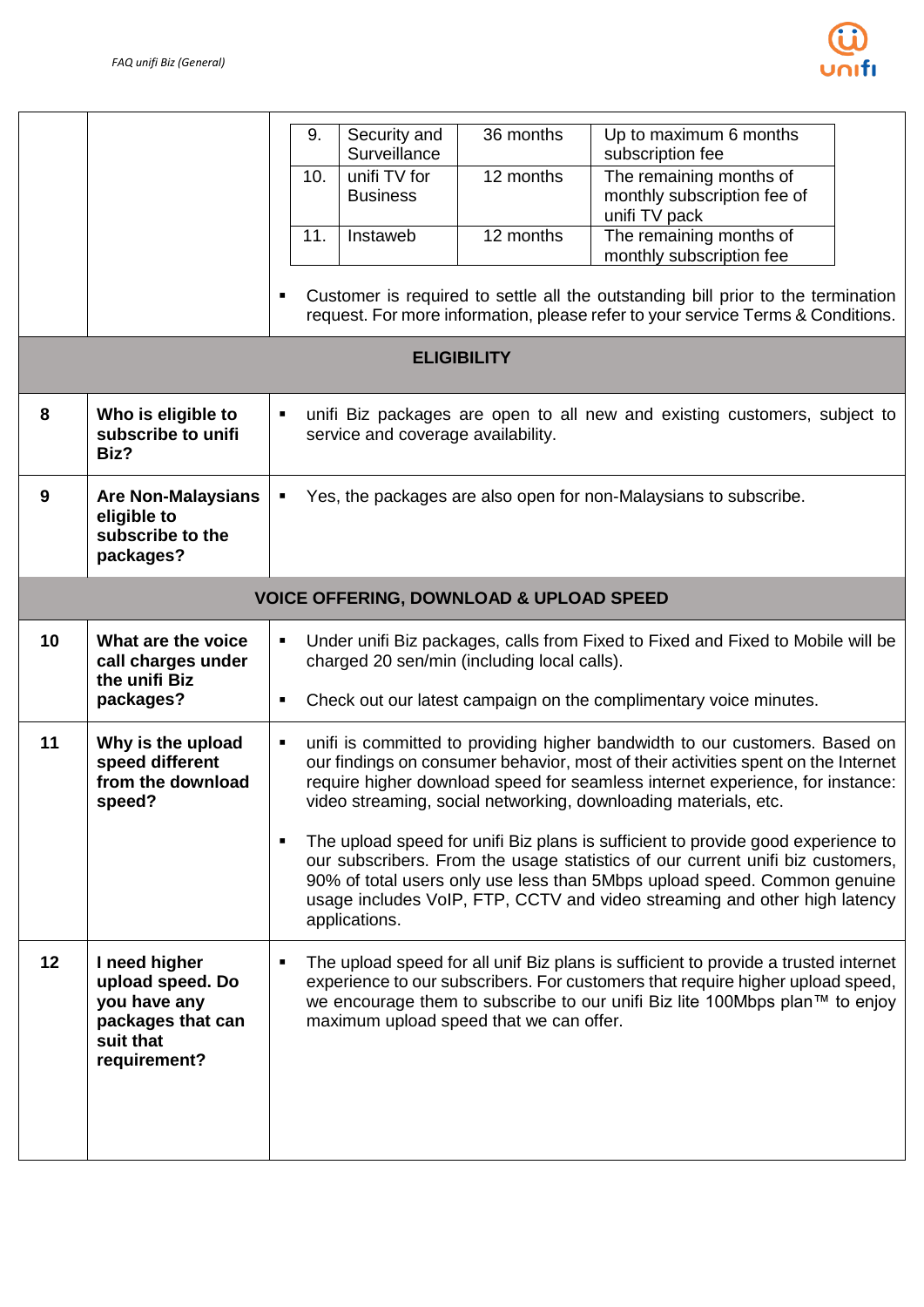

|    |                                                                                                     | 9.<br>10.<br>11.    | Security and<br>Surveillance<br>unifi TV for<br><b>Business</b><br>Instaweb | 36 months<br>12 months<br>12 months | Up to maximum 6 months<br>subscription fee<br>The remaining months of<br>monthly subscription fee of<br>unifi TV pack<br>The remaining months of<br>monthly subscription fee<br>Customer is required to settle all the outstanding bill prior to the termination<br>request. For more information, please refer to your service Terms & Conditions.                                                                                                                                                                                                                                                                                                 |
|----|-----------------------------------------------------------------------------------------------------|---------------------|-----------------------------------------------------------------------------|-------------------------------------|-----------------------------------------------------------------------------------------------------------------------------------------------------------------------------------------------------------------------------------------------------------------------------------------------------------------------------------------------------------------------------------------------------------------------------------------------------------------------------------------------------------------------------------------------------------------------------------------------------------------------------------------------------|
|    |                                                                                                     |                     |                                                                             | <b>ELIGIBILITY</b>                  |                                                                                                                                                                                                                                                                                                                                                                                                                                                                                                                                                                                                                                                     |
| 8  | Who is eligible to<br>subscribe to unifi<br>Biz?                                                    | ٠                   | service and coverage availability.                                          |                                     | unifi Biz packages are open to all new and existing customers, subject to                                                                                                                                                                                                                                                                                                                                                                                                                                                                                                                                                                           |
| 9  | <b>Are Non-Malaysians</b><br>eligible to<br>subscribe to the<br>packages?                           | ٠                   |                                                                             |                                     | Yes, the packages are also open for non-Malaysians to subscribe.                                                                                                                                                                                                                                                                                                                                                                                                                                                                                                                                                                                    |
|    | <b>VOICE OFFERING, DOWNLOAD &amp; UPLOAD SPEED</b>                                                  |                     |                                                                             |                                     |                                                                                                                                                                                                                                                                                                                                                                                                                                                                                                                                                                                                                                                     |
| 10 | What are the voice<br>call charges under<br>the unifi Biz<br>packages?                              | $\blacksquare$<br>٠ | charged 20 sen/min (including local calls).                                 |                                     | Under unifi Biz packages, calls from Fixed to Fixed and Fixed to Mobile will be<br>Check out our latest campaign on the complimentary voice minutes.                                                                                                                                                                                                                                                                                                                                                                                                                                                                                                |
| 11 | Why is the upload<br>speed different<br>from the download<br>speed?                                 | ٠                   | applications.                                                               |                                     | unifi is committed to providing higher bandwidth to our customers. Based on<br>our findings on consumer behavior, most of their activities spent on the Internet<br>require higher download speed for seamless internet experience, for instance:<br>video streaming, social networking, downloading materials, etc.<br>The upload speed for unifi Biz plans is sufficient to provide good experience to<br>our subscribers. From the usage statistics of our current unifi biz customers,<br>90% of total users only use less than 5Mbps upload speed. Common genuine<br>usage includes VoIP, FTP, CCTV and video streaming and other high latency |
| 12 | I need higher<br>upload speed. Do<br>you have any<br>packages that can<br>suit that<br>requirement? |                     | maximum upload speed that we can offer.                                     |                                     | The upload speed for all unif Biz plans is sufficient to provide a trusted internet<br>experience to our subscribers. For customers that require higher upload speed,<br>we encourage them to subscribe to our unifi Biz lite 100Mbps plan™ to enjoy                                                                                                                                                                                                                                                                                                                                                                                                |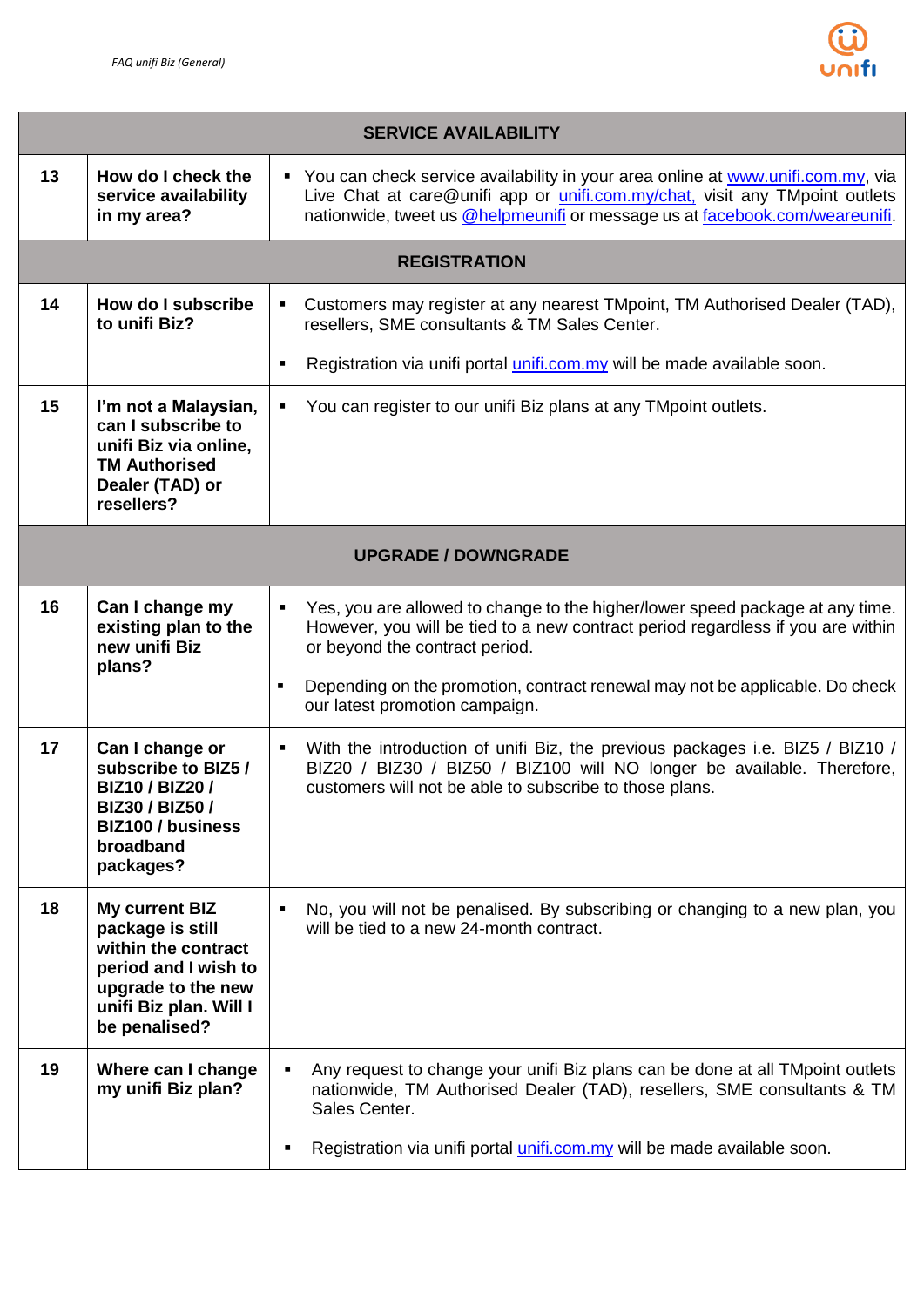

|    | <b>SERVICE AVAILABILITY</b>                                                                                                                        |                                                                                                                                                                                                                                                                                                                        |  |  |
|----|----------------------------------------------------------------------------------------------------------------------------------------------------|------------------------------------------------------------------------------------------------------------------------------------------------------------------------------------------------------------------------------------------------------------------------------------------------------------------------|--|--|
| 13 | How do I check the<br>service availability<br>in my area?                                                                                          | " You can check service availability in your area online at www.unifi.com.my, via<br>Live Chat at care@unifi app or <i>unifi.com.my/chat</i> , visit any TMpoint outlets<br>nationwide, tweet us @helpmeunifi or message us at facebook.com/weareunifi.                                                                |  |  |
|    |                                                                                                                                                    | <b>REGISTRATION</b>                                                                                                                                                                                                                                                                                                    |  |  |
| 14 | How do I subscribe<br>to unifi Biz?                                                                                                                | Customers may register at any nearest TMpoint, TM Authorised Dealer (TAD),<br>$\blacksquare$<br>resellers, SME consultants & TM Sales Center.                                                                                                                                                                          |  |  |
|    |                                                                                                                                                    | Registration via unifi portal <i>unifi.com.my</i> will be made available soon.<br>٠                                                                                                                                                                                                                                    |  |  |
| 15 | I'm not a Malaysian,<br>can I subscribe to<br>unifi Biz via online,<br><b>TM Authorised</b><br>Dealer (TAD) or<br>resellers?                       | You can register to our unifi Biz plans at any TM point outlets.<br>$\blacksquare$                                                                                                                                                                                                                                     |  |  |
|    |                                                                                                                                                    | <b>UPGRADE / DOWNGRADE</b>                                                                                                                                                                                                                                                                                             |  |  |
| 16 | Can I change my<br>existing plan to the<br>new unifi Biz<br>plans?                                                                                 | Yes, you are allowed to change to the higher/lower speed package at any time.<br>$\blacksquare$<br>However, you will be tied to a new contract period regardless if you are within<br>or beyond the contract period.<br>Depending on the promotion, contract renewal may not be applicable. Do check<br>$\blacksquare$ |  |  |
|    |                                                                                                                                                    | our latest promotion campaign.                                                                                                                                                                                                                                                                                         |  |  |
| 17 | Can I change or<br>subscribe to BIZ5 /<br><b>BIZ10 / BIZ20 /</b><br>BIZ30 / BIZ50 /<br><b>BIZ100 / business</b><br>broadband<br>packages?          | With the introduction of unifi Biz, the previous packages i.e. BIZ5 / BIZ10 /<br>$\blacksquare$<br>BIZ20 / BIZ30 / BIZ50 / BIZ100 will NO longer be available. Therefore,<br>customers will not be able to subscribe to those plans.                                                                                   |  |  |
| 18 | My current BIZ<br>package is still<br>within the contract<br>period and I wish to<br>upgrade to the new<br>unifi Biz plan. Will I<br>be penalised? | No, you will not be penalised. By subscribing or changing to a new plan, you<br>٠<br>will be tied to a new 24-month contract.                                                                                                                                                                                          |  |  |
| 19 | Where can I change<br>my unifi Biz plan?                                                                                                           | Any request to change your unifi Biz plans can be done at all TM point outlets<br>nationwide, TM Authorised Dealer (TAD), resellers, SME consultants & TM<br>Sales Center.                                                                                                                                             |  |  |
|    |                                                                                                                                                    | Registration via unifi portal <i>unifi.com.my</i> will be made available soon.                                                                                                                                                                                                                                         |  |  |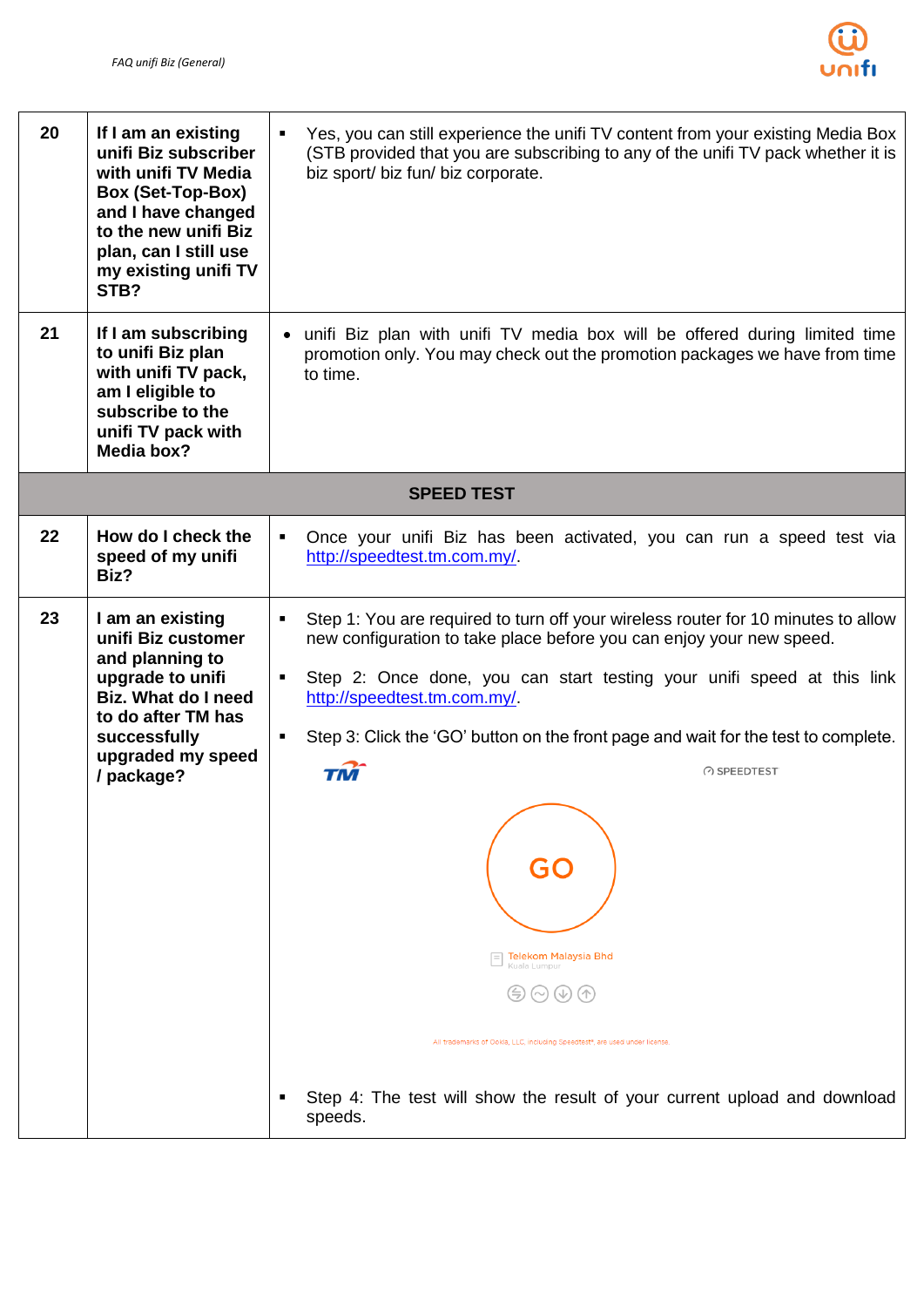

| 20 | If I am an existing<br>unifi Biz subscriber<br>with unifi TV Media<br><b>Box (Set-Top-Box)</b><br>and I have changed<br>to the new unifi Biz<br>plan, can I still use<br>my existing unifi TV<br>STB? | Yes, you can still experience the unifi TV content from your existing Media Box<br>(STB provided that you are subscribing to any of the unifi TV pack whether it is<br>biz sport/ biz fun/ biz corporate.                                                                                                                                                                                                                                                                                                                                                                                                                                                                     |  |
|----|-------------------------------------------------------------------------------------------------------------------------------------------------------------------------------------------------------|-------------------------------------------------------------------------------------------------------------------------------------------------------------------------------------------------------------------------------------------------------------------------------------------------------------------------------------------------------------------------------------------------------------------------------------------------------------------------------------------------------------------------------------------------------------------------------------------------------------------------------------------------------------------------------|--|
| 21 | If I am subscribing<br>to unifi Biz plan<br>with unifi TV pack,<br>am I eligible to<br>subscribe to the<br>unifi TV pack with<br>Media box?                                                           | unifi Biz plan with unifi TV media box will be offered during limited time<br>promotion only. You may check out the promotion packages we have from time<br>to time.                                                                                                                                                                                                                                                                                                                                                                                                                                                                                                          |  |
|    |                                                                                                                                                                                                       | <b>SPEED TEST</b>                                                                                                                                                                                                                                                                                                                                                                                                                                                                                                                                                                                                                                                             |  |
| 22 | How do I check the<br>speed of my unifi<br>Biz?                                                                                                                                                       | Once your unifi Biz has been activated, you can run a speed test via<br>٠<br>http://speedtest.tm.com.my/                                                                                                                                                                                                                                                                                                                                                                                                                                                                                                                                                                      |  |
| 23 | I am an existing<br>unifi Biz customer<br>and planning to<br>upgrade to unifi<br><b>Biz. What do I need</b><br>to do after TM has<br>successfully<br>upgraded my speed<br>/ package?                  | Step 1: You are required to turn off your wireless router for 10 minutes to allow<br>new configuration to take place before you can enjoy your new speed.<br>Step 2: Once done, you can start testing your unifi speed at this link<br>٠<br>http://speedtest.tm.com.my/<br>Step 3: Click the 'GO' button on the front page and wait for the test to complete.<br>$\blacksquare$<br>◯ SPEEDTEST<br>TM<br>GO<br>Telekom Malaysia Bhd<br>Kuala Lumpur<br>$(\sim)$ $(\downarrow)$ $(\uparrow)$<br>All trademarks of Ookla, LLC, including Speedtest <sup>®</sup> , are used under license<br>Step 4: The test will show the result of your current upload and download<br>speeds. |  |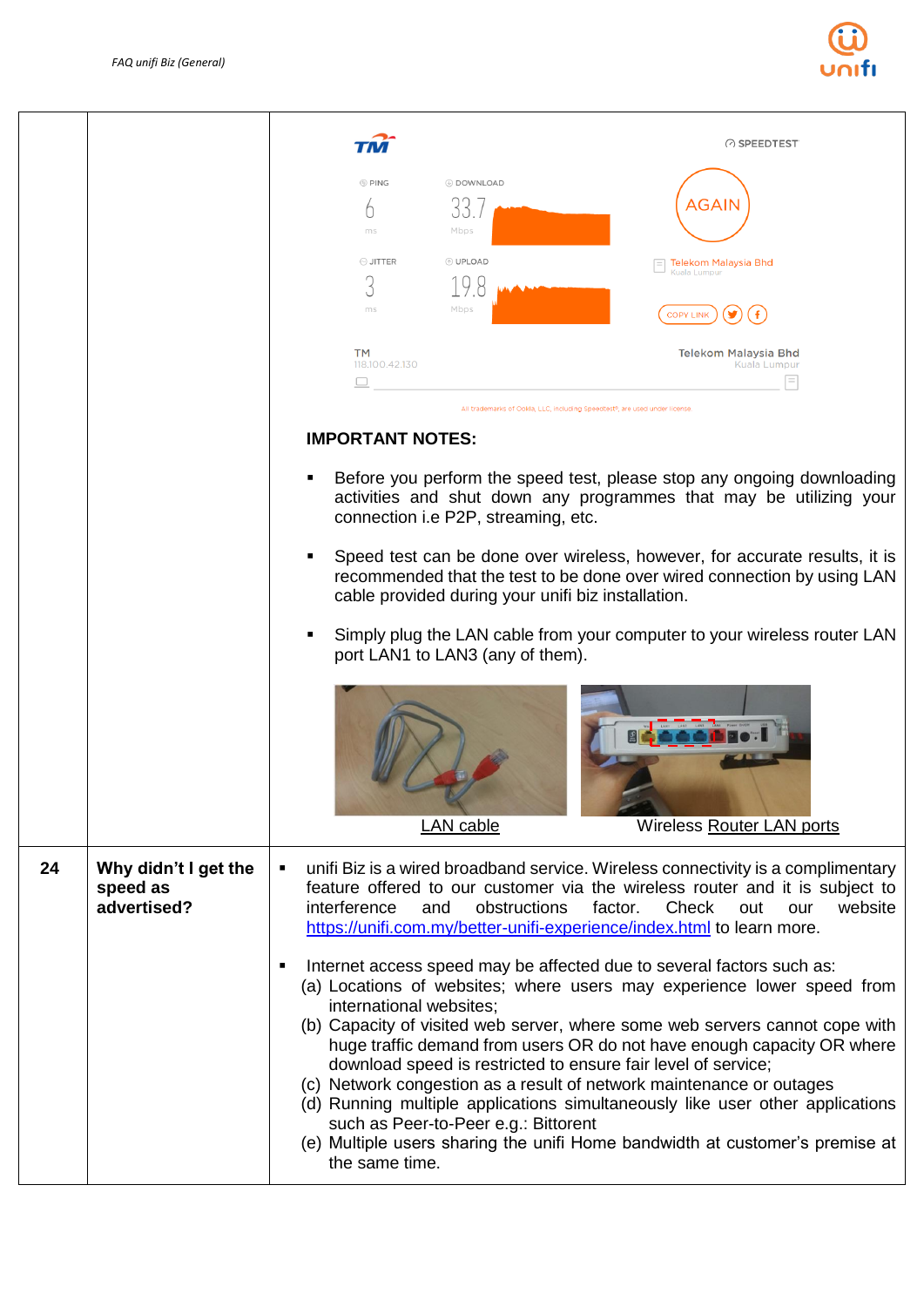

|    |                                                 |                                                                                        | ◯ SPEEDTEST                                                                                                                                                                                                                                                                                                                                                                                                                                                                                                                                                                                                        |
|----|-------------------------------------------------|----------------------------------------------------------------------------------------|--------------------------------------------------------------------------------------------------------------------------------------------------------------------------------------------------------------------------------------------------------------------------------------------------------------------------------------------------------------------------------------------------------------------------------------------------------------------------------------------------------------------------------------------------------------------------------------------------------------------|
|    |                                                 | <b>O</b> PING<br><b>© DOWNLOAD</b><br>Mbps<br>ms                                       | ،GAIN                                                                                                                                                                                                                                                                                                                                                                                                                                                                                                                                                                                                              |
|    |                                                 | ⊙ JITTER<br><b>O</b> UPLOAD<br>3<br>19                                                 | Telekom Malaysia Bhd<br>Kuala Lumpur                                                                                                                                                                                                                                                                                                                                                                                                                                                                                                                                                                               |
|    |                                                 | Mbps<br>ms                                                                             | <b>COPY LINK</b>                                                                                                                                                                                                                                                                                                                                                                                                                                                                                                                                                                                                   |
|    |                                                 | <b>TM</b><br>118.100.42.130                                                            | Telekom Malaysia Bhd<br>Kuala Lumpur                                                                                                                                                                                                                                                                                                                                                                                                                                                                                                                                                                               |
|    |                                                 |                                                                                        | All trademarks of Ookla, LLC, including Speedtest <sup>e</sup> , are used under license                                                                                                                                                                                                                                                                                                                                                                                                                                                                                                                            |
|    |                                                 | <b>IMPORTANT NOTES:</b>                                                                |                                                                                                                                                                                                                                                                                                                                                                                                                                                                                                                                                                                                                    |
|    |                                                 | connection i.e P2P, streaming, etc.                                                    | Before you perform the speed test, please stop any ongoing downloading<br>activities and shut down any programmes that may be utilizing your                                                                                                                                                                                                                                                                                                                                                                                                                                                                       |
|    |                                                 | cable provided during your unifi biz installation.                                     | Speed test can be done over wireless, however, for accurate results, it is<br>recommended that the test to be done over wired connection by using LAN                                                                                                                                                                                                                                                                                                                                                                                                                                                              |
|    |                                                 | port LAN1 to LAN3 (any of them).                                                       | Simply plug the LAN cable from your computer to your wireless router LAN                                                                                                                                                                                                                                                                                                                                                                                                                                                                                                                                           |
|    |                                                 | LAN cable                                                                              | <b>Wireless Router LAN ports</b>                                                                                                                                                                                                                                                                                                                                                                                                                                                                                                                                                                                   |
| 24 | Why didn't I get the<br>speed as<br>advertised? | $\blacksquare$<br>interference<br>and                                                  | unifi Biz is a wired broadband service. Wireless connectivity is a complimentary<br>feature offered to our customer via the wireless router and it is subject to<br>obstructions<br>website<br>factor.<br>Check<br>out<br>our<br>https://unifi.com.my/better-unifi-experience/index.html to learn more.                                                                                                                                                                                                                                                                                                            |
|    |                                                 | ٠<br>international websites;<br>such as Peer-to-Peer e.g.: Bittorent<br>the same time. | Internet access speed may be affected due to several factors such as:<br>(a) Locations of websites; where users may experience lower speed from<br>(b) Capacity of visited web server, where some web servers cannot cope with<br>huge traffic demand from users OR do not have enough capacity OR where<br>download speed is restricted to ensure fair level of service;<br>(c) Network congestion as a result of network maintenance or outages<br>(d) Running multiple applications simultaneously like user other applications<br>(e) Multiple users sharing the unifi Home bandwidth at customer's premise at |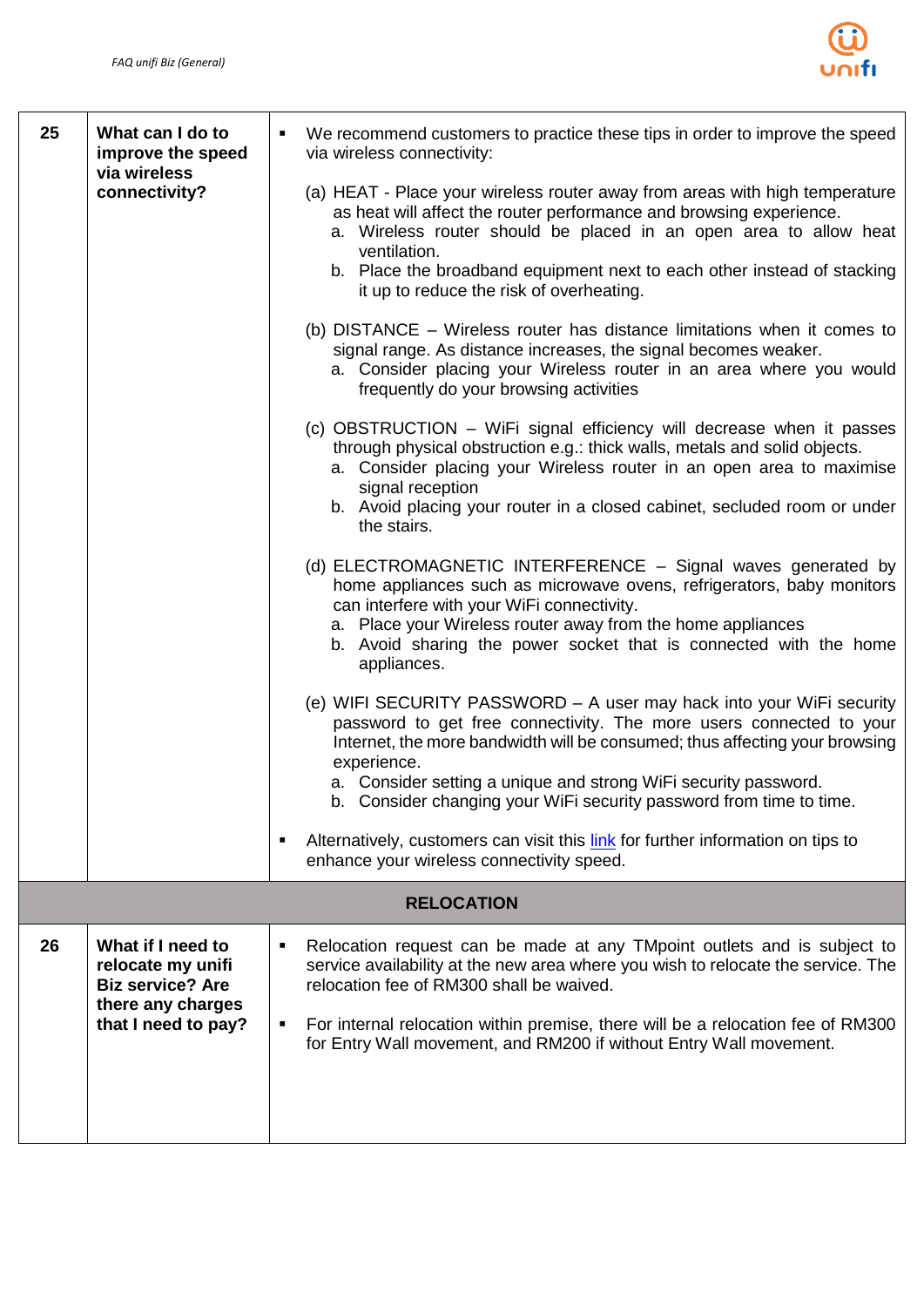

| 25 | What can I do to<br>improve the speed<br>via wireless                                                         | We recommend customers to practice these tips in order to improve the speed<br>٠<br>via wireless connectivity:                                                                                                                                                                                                                                                                      |
|----|---------------------------------------------------------------------------------------------------------------|-------------------------------------------------------------------------------------------------------------------------------------------------------------------------------------------------------------------------------------------------------------------------------------------------------------------------------------------------------------------------------------|
|    | connectivity?                                                                                                 | (a) HEAT - Place your wireless router away from areas with high temperature<br>as heat will affect the router performance and browsing experience.<br>a. Wireless router should be placed in an open area to allow heat<br>ventilation.<br>b. Place the broadband equipment next to each other instead of stacking<br>it up to reduce the risk of overheating.                      |
|    |                                                                                                               | (b) DISTANCE – Wireless router has distance limitations when it comes to<br>signal range. As distance increases, the signal becomes weaker.<br>a. Consider placing your Wireless router in an area where you would<br>frequently do your browsing activities                                                                                                                        |
|    |                                                                                                               | (c) OBSTRUCTION - WiFi signal efficiency will decrease when it passes<br>through physical obstruction e.g.: thick walls, metals and solid objects.<br>a. Consider placing your Wireless router in an open area to maximise<br>signal reception<br>b. Avoid placing your router in a closed cabinet, secluded room or under<br>the stairs.                                           |
|    |                                                                                                               | (d) ELECTROMAGNETIC INTERFERENCE - Signal waves generated by<br>home appliances such as microwave ovens, refrigerators, baby monitors<br>can interfere with your WiFi connectivity.<br>a. Place your Wireless router away from the home appliances<br>b. Avoid sharing the power socket that is connected with the home<br>appliances.                                              |
|    |                                                                                                               | (e) WIFI SECURITY PASSWORD - A user may hack into your WiFi security<br>password to get free connectivity. The more users connected to your<br>Internet, the more bandwidth will be consumed; thus affecting your browsing<br>experience.<br>a. Consider setting a unique and strong WiFi security password.<br>b. Consider changing your WiFi security password from time to time. |
|    |                                                                                                               | Alternatively, customers can visit this link for further information on tips to<br>enhance your wireless connectivity speed.                                                                                                                                                                                                                                                        |
|    |                                                                                                               | <b>RELOCATION</b>                                                                                                                                                                                                                                                                                                                                                                   |
| 26 | What if I need to<br>relocate my unifi<br><b>Biz service? Are</b><br>there any charges<br>that I need to pay? | Relocation request can be made at any TMpoint outlets and is subject to<br>٠<br>service availability at the new area where you wish to relocate the service. The<br>relocation fee of RM300 shall be waived.<br>For internal relocation within premise, there will be a relocation fee of RM300<br>٠<br>for Entry Wall movement, and RM200 if without Entry Wall movement.          |
|    |                                                                                                               |                                                                                                                                                                                                                                                                                                                                                                                     |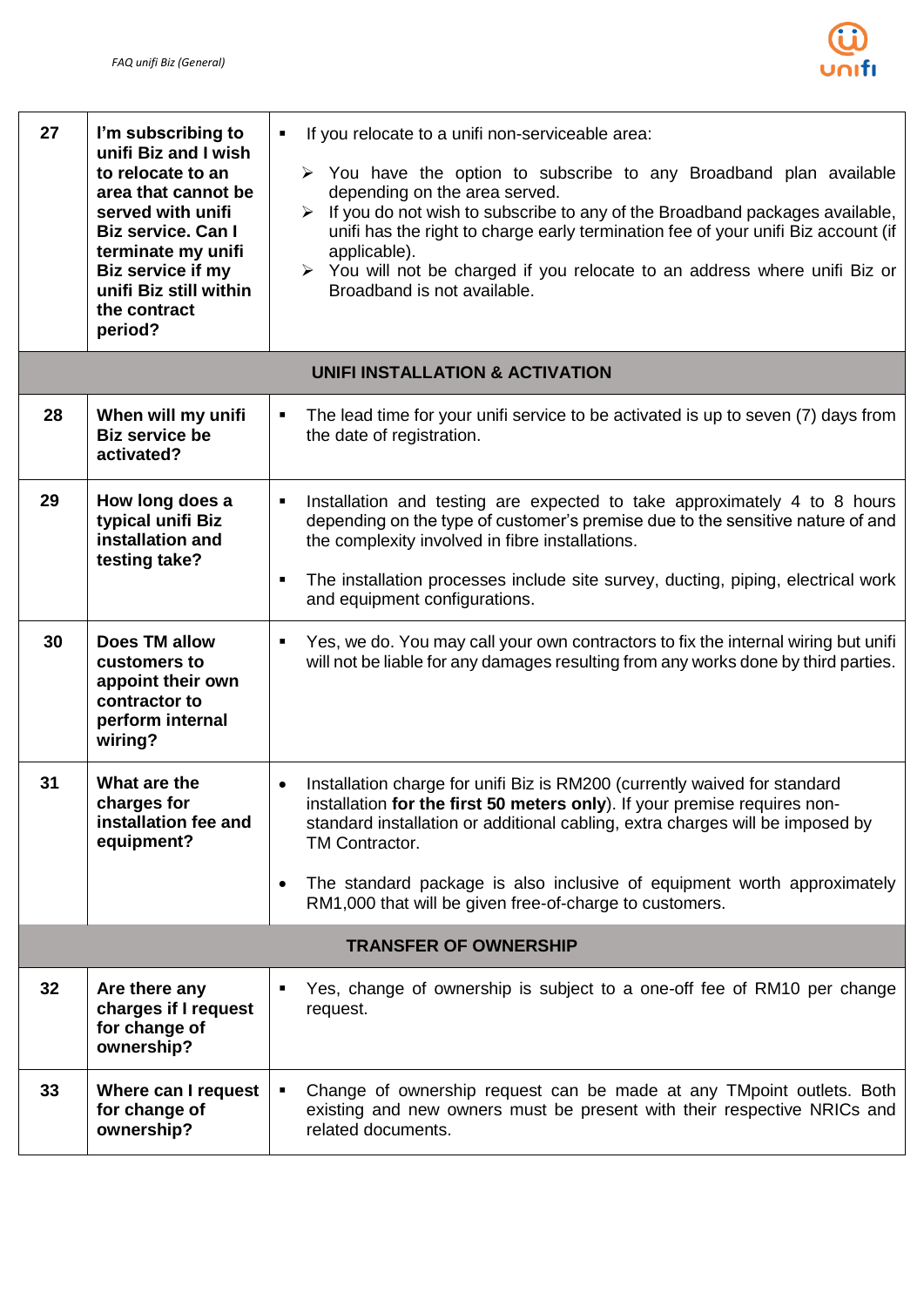

| 27 | I'm subscribing to<br>unifi Biz and I wish<br>to relocate to an<br>area that cannot be<br>served with unifi<br><b>Biz service. Can I</b><br>terminate my unifi<br>Biz service if my<br>unifi Biz still within<br>the contract<br>period? | If you relocate to a unifi non-serviceable area:<br>$\blacksquare$<br>$\triangleright$ You have the option to subscribe to any Broadband plan available<br>depending on the area served.<br>If you do not wish to subscribe to any of the Broadband packages available,<br>➤<br>unifi has the right to charge early termination fee of your unifi Biz account (if<br>applicable).<br>$\triangleright$ You will not be charged if you relocate to an address where unifi Biz or<br>Broadband is not available. |
|----|------------------------------------------------------------------------------------------------------------------------------------------------------------------------------------------------------------------------------------------|---------------------------------------------------------------------------------------------------------------------------------------------------------------------------------------------------------------------------------------------------------------------------------------------------------------------------------------------------------------------------------------------------------------------------------------------------------------------------------------------------------------|
|    |                                                                                                                                                                                                                                          | UNIFI INSTALLATION & ACTIVATION                                                                                                                                                                                                                                                                                                                                                                                                                                                                               |
| 28 | When will my unifi<br><b>Biz service be</b><br>activated?                                                                                                                                                                                | The lead time for your unifi service to be activated is up to seven (7) days from<br>٠<br>the date of registration.                                                                                                                                                                                                                                                                                                                                                                                           |
| 29 | How long does a<br>typical unifi Biz<br>installation and<br>testing take?                                                                                                                                                                | Installation and testing are expected to take approximately 4 to 8 hours<br>٠<br>depending on the type of customer's premise due to the sensitive nature of and<br>the complexity involved in fibre installations.                                                                                                                                                                                                                                                                                            |
|    |                                                                                                                                                                                                                                          | The installation processes include site survey, ducting, piping, electrical work<br>٠<br>and equipment configurations.                                                                                                                                                                                                                                                                                                                                                                                        |
| 30 | <b>Does TM allow</b><br>customers to<br>appoint their own<br>contractor to<br>perform internal<br>wiring?                                                                                                                                | Yes, we do. You may call your own contractors to fix the internal wiring but unifi<br>$\blacksquare$<br>will not be liable for any damages resulting from any works done by third parties.                                                                                                                                                                                                                                                                                                                    |
| 31 | What are the<br>charges for<br>installation fee and<br>equipment?                                                                                                                                                                        | Installation charge for unifi Biz is RM200 (currently waived for standard<br>$\bullet$<br>installation for the first 50 meters only). If your premise requires non-<br>standard installation or additional cabling, extra charges will be imposed by<br>TM Contractor.                                                                                                                                                                                                                                        |
|    |                                                                                                                                                                                                                                          | The standard package is also inclusive of equipment worth approximately<br>$\bullet$<br>RM1,000 that will be given free-of-charge to customers.                                                                                                                                                                                                                                                                                                                                                               |
|    |                                                                                                                                                                                                                                          | <b>TRANSFER OF OWNERSHIP</b>                                                                                                                                                                                                                                                                                                                                                                                                                                                                                  |
| 32 | Are there any<br>charges if I request<br>for change of<br>ownership?                                                                                                                                                                     | Yes, change of ownership is subject to a one-off fee of RM10 per change<br>٠<br>request.                                                                                                                                                                                                                                                                                                                                                                                                                      |
| 33 | Where can I request<br>for change of<br>ownership?                                                                                                                                                                                       | Change of ownership request can be made at any TM point outlets. Both<br>٠<br>existing and new owners must be present with their respective NRICs and<br>related documents.                                                                                                                                                                                                                                                                                                                                   |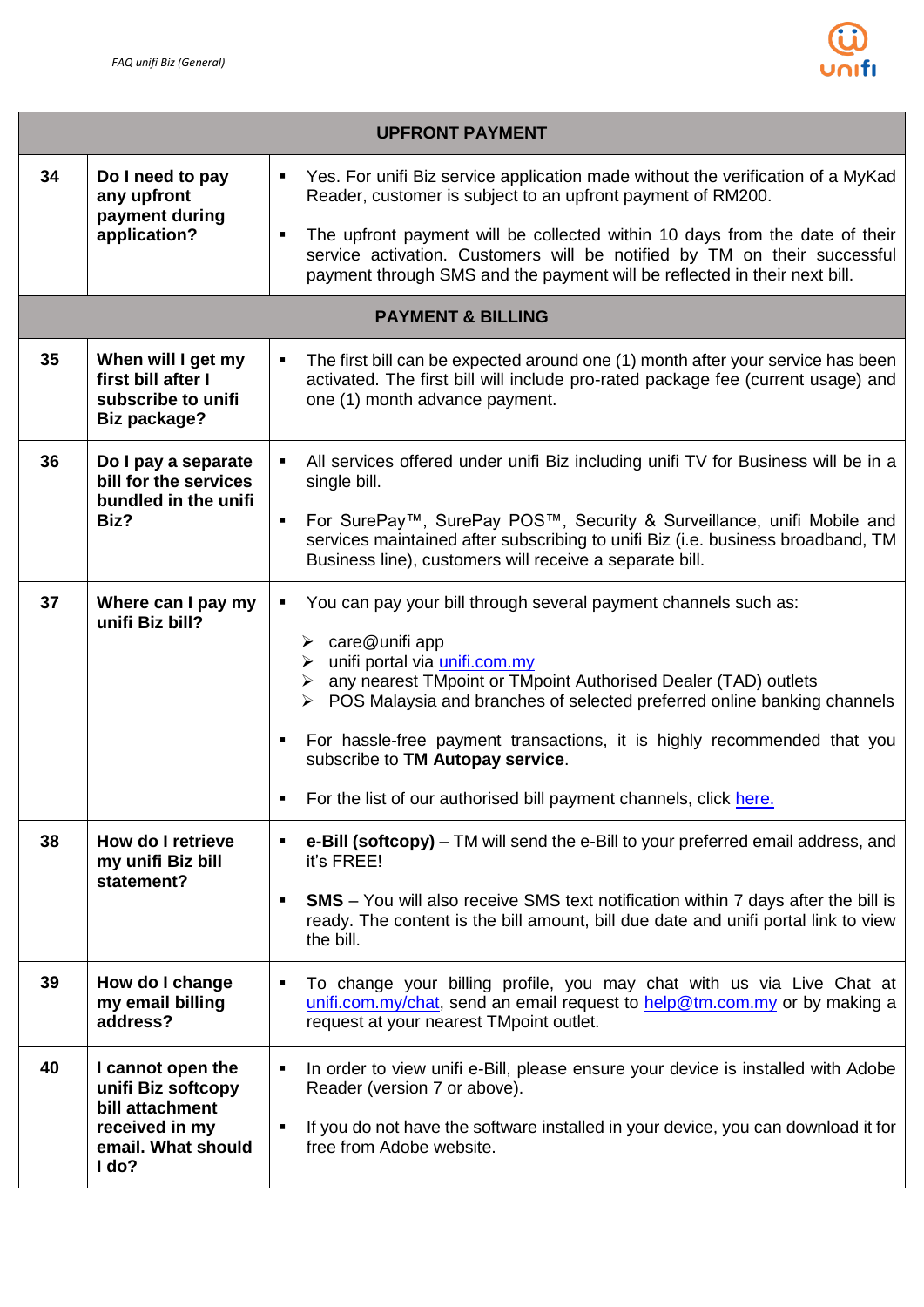

| <b>UPFRONT PAYMENT</b> |                                                                                                             |                                                                                                                                                                                                                                                                                                                                                                                                                                                                                                                                    |  |  |
|------------------------|-------------------------------------------------------------------------------------------------------------|------------------------------------------------------------------------------------------------------------------------------------------------------------------------------------------------------------------------------------------------------------------------------------------------------------------------------------------------------------------------------------------------------------------------------------------------------------------------------------------------------------------------------------|--|--|
| 34                     | Do I need to pay<br>any upfront<br>payment during                                                           | Yes. For unifi Biz service application made without the verification of a MyKad<br>٠<br>Reader, customer is subject to an upfront payment of RM200.                                                                                                                                                                                                                                                                                                                                                                                |  |  |
|                        | application?                                                                                                | The upfront payment will be collected within 10 days from the date of their<br>٠<br>service activation. Customers will be notified by TM on their successful<br>payment through SMS and the payment will be reflected in their next bill.                                                                                                                                                                                                                                                                                          |  |  |
|                        |                                                                                                             | <b>PAYMENT &amp; BILLING</b>                                                                                                                                                                                                                                                                                                                                                                                                                                                                                                       |  |  |
| 35                     | When will I get my<br>first bill after I<br>subscribe to unifi<br><b>Biz package?</b>                       | The first bill can be expected around one (1) month after your service has been<br>$\blacksquare$<br>activated. The first bill will include pro-rated package fee (current usage) and<br>one (1) month advance payment.                                                                                                                                                                                                                                                                                                            |  |  |
| 36                     | Do I pay a separate<br>bill for the services                                                                | All services offered under unifi Biz including unifi TV for Business will be in a<br>٠<br>single bill.                                                                                                                                                                                                                                                                                                                                                                                                                             |  |  |
|                        | bundled in the unifi<br>Biz?                                                                                | For SurePay™, SurePay POS™, Security & Surveillance, unifi Mobile and<br>٠<br>services maintained after subscribing to unifi Biz (i.e. business broadband, TM<br>Business line), customers will receive a separate bill.                                                                                                                                                                                                                                                                                                           |  |  |
| 37                     | Where can I pay my<br>unifi Biz bill?                                                                       | You can pay your bill through several payment channels such as:<br>$\blacksquare$<br>$\triangleright$ care@unifi app<br>unifi portal via <i>unifi.com.my</i><br>➤<br>any nearest TMpoint or TMpoint Authorised Dealer (TAD) outlets<br>➤<br>$\triangleright$ POS Malaysia and branches of selected preferred online banking channels<br>For hassle-free payment transactions, it is highly recommended that you<br>٠<br>subscribe to TM Autopay service.<br>For the list of our authorised bill payment channels, click here.<br>٠ |  |  |
| 38                     | How do I retrieve<br>my unifi Biz bill                                                                      | e-Bill (softcopy) – TM will send the e-Bill to your preferred email address, and<br>٠<br>it's FREE!                                                                                                                                                                                                                                                                                                                                                                                                                                |  |  |
|                        | statement?                                                                                                  | <b>SMS</b> – You will also receive SMS text notification within 7 days after the bill is<br>٠<br>ready. The content is the bill amount, bill due date and unifi portal link to view<br>the bill.                                                                                                                                                                                                                                                                                                                                   |  |  |
| 39                     | How do I change<br>my email billing<br>address?                                                             | To change your billing profile, you may chat with us via Live Chat at<br>٠<br>unifi.com.my/chat, send an email request to help@tm.com.my or by making a<br>request at your nearest TMpoint outlet.                                                                                                                                                                                                                                                                                                                                 |  |  |
| 40                     | I cannot open the<br>unifi Biz softcopy<br>bill attachment<br>received in my<br>email. What should<br>I do? | In order to view unifi e-Bill, please ensure your device is installed with Adobe<br>٠<br>Reader (version 7 or above).<br>If you do not have the software installed in your device, you can download it for<br>٠<br>free from Adobe website.                                                                                                                                                                                                                                                                                        |  |  |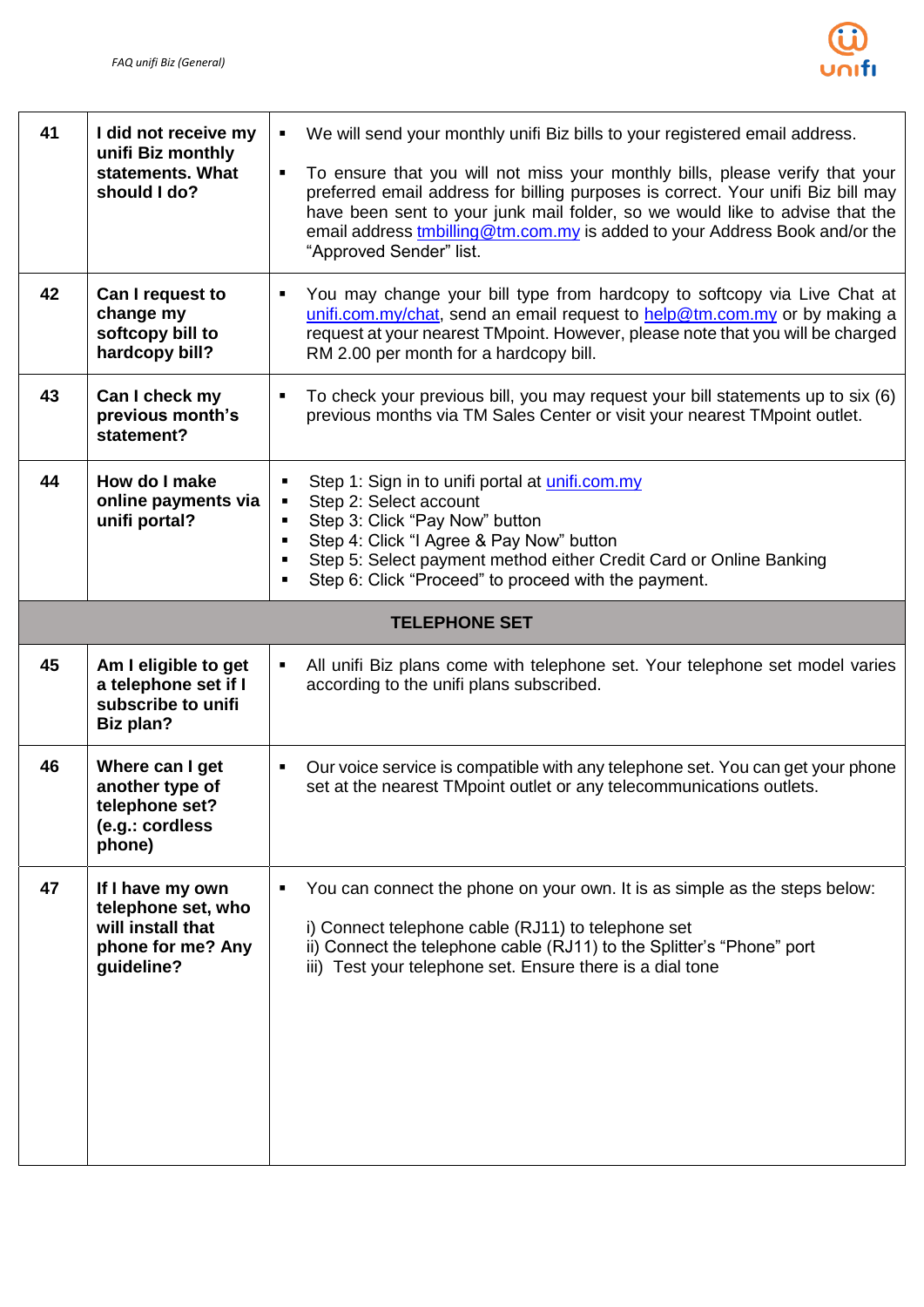

| 41 | I did not receive my<br>unifi Biz monthly<br>statements. What<br>should I do?     | We will send your monthly unifi Biz bills to your registered email address.<br>٠<br>To ensure that you will not miss your monthly bills, please verify that your<br>$\blacksquare$<br>preferred email address for billing purposes is correct. Your unifi Biz bill may<br>have been sent to your junk mail folder, so we would like to advise that the<br>email address <i>tmbilling@tm.com.my</i> is added to your Address Book and/or the<br>"Approved Sender" list. |
|----|-----------------------------------------------------------------------------------|------------------------------------------------------------------------------------------------------------------------------------------------------------------------------------------------------------------------------------------------------------------------------------------------------------------------------------------------------------------------------------------------------------------------------------------------------------------------|
| 42 | Can I request to<br>change my<br>softcopy bill to<br>hardcopy bill?               | You may change your bill type from hardcopy to softcopy via Live Chat at<br>٠<br>unifi.com.my/chat, send an email request to help@tm.com.my or by making a<br>request at your nearest TMpoint. However, please note that you will be charged<br>RM 2.00 per month for a hardcopy bill.                                                                                                                                                                                 |
| 43 | Can I check my<br>previous month's<br>statement?                                  | To check your previous bill, you may request your bill statements up to six (6)<br>previous months via TM Sales Center or visit your nearest TMpoint outlet.                                                                                                                                                                                                                                                                                                           |
| 44 | How do I make<br>online payments via<br>unifi portal?                             | Step 1: Sign in to unifi portal at unifi.com.my<br>п<br>Step 2: Select account<br>٠<br>Step 3: Click "Pay Now" button<br>$\blacksquare$<br>Step 4: Click "I Agree & Pay Now" button<br>$\blacksquare$<br>Step 5: Select payment method either Credit Card or Online Banking<br>٠<br>Step 6: Click "Proceed" to proceed with the payment.<br>٠                                                                                                                          |
|    |                                                                                   | <b>TELEPHONE SET</b>                                                                                                                                                                                                                                                                                                                                                                                                                                                   |
| 45 | Am I eligible to get<br>a telephone set if I                                      | All unifi Biz plans come with telephone set. Your telephone set model varies<br>$\blacksquare$<br>according to the unifi plans subscribed.                                                                                                                                                                                                                                                                                                                             |
|    | subscribe to unifi<br><b>Biz plan?</b>                                            |                                                                                                                                                                                                                                                                                                                                                                                                                                                                        |
| 46 | Where can I get<br>another type of<br>telephone set?<br>(e.g.: cordless<br>phone) | Our voice service is compatible with any telephone set. You can get your phone<br>$\blacksquare$<br>set at the nearest TMpoint outlet or any telecommunications outlets.                                                                                                                                                                                                                                                                                               |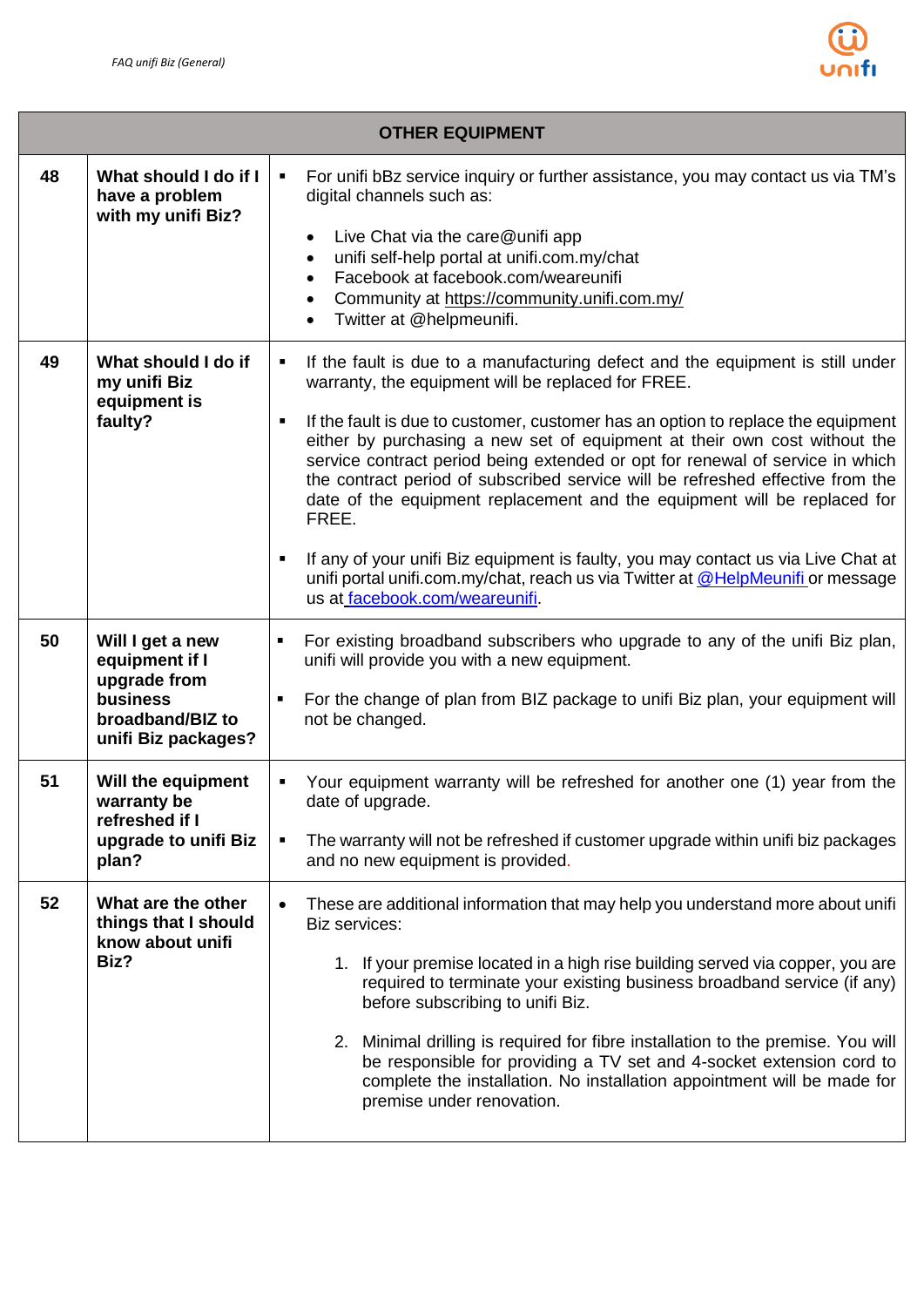

|    |                                                                                                           | <b>OTHER EQUIPMENT</b>                                                                                                                                                                                                                                                                                                                                                                                                                                                                                                                                                                                                                                                                                                                                                            |
|----|-----------------------------------------------------------------------------------------------------------|-----------------------------------------------------------------------------------------------------------------------------------------------------------------------------------------------------------------------------------------------------------------------------------------------------------------------------------------------------------------------------------------------------------------------------------------------------------------------------------------------------------------------------------------------------------------------------------------------------------------------------------------------------------------------------------------------------------------------------------------------------------------------------------|
| 48 | What should I do if I<br>have a problem<br>with my unifi Biz?                                             | For unifi bBz service inquiry or further assistance, you may contact us via TM's<br>$\blacksquare$<br>digital channels such as:<br>Live Chat via the care@unifi app<br>$\bullet$<br>unifi self-help portal at unifi.com.my/chat<br>$\bullet$<br>Facebook at facebook.com/weareunifi<br>$\bullet$<br>Community at https://community.unifi.com.my/<br>$\bullet$<br>Twitter at @helpmeunifi.<br>$\bullet$                                                                                                                                                                                                                                                                                                                                                                            |
| 49 | What should I do if<br>my unifi Biz<br>equipment is<br>faulty?                                            | If the fault is due to a manufacturing defect and the equipment is still under<br>٠<br>warranty, the equipment will be replaced for FREE.<br>If the fault is due to customer, customer has an option to replace the equipment<br>٠<br>either by purchasing a new set of equipment at their own cost without the<br>service contract period being extended or opt for renewal of service in which<br>the contract period of subscribed service will be refreshed effective from the<br>date of the equipment replacement and the equipment will be replaced for<br>FREE.<br>If any of your unifi Biz equipment is faulty, you may contact us via Live Chat at<br>unifi portal unifi.com.my/chat, reach us via Twitter at @HelpMeunifi or message<br>us at facebook.com/weareunifi. |
| 50 | Will I get a new<br>equipment if I<br>upgrade from<br>business<br>broadband/BIZ to<br>unifi Biz packages? | For existing broadband subscribers who upgrade to any of the unifi Biz plan,<br>٠<br>unifi will provide you with a new equipment.<br>For the change of plan from BIZ package to unifi Biz plan, your equipment will<br>٠<br>not be changed.                                                                                                                                                                                                                                                                                                                                                                                                                                                                                                                                       |
| 51 | Will the equipment<br>warranty be<br>refreshed if I<br>upgrade to unifi Biz<br>plan?                      | Your equipment warranty will be refreshed for another one (1) year from the<br>date of upgrade.<br>The warranty will not be refreshed if customer upgrade within unifi biz packages<br>٠<br>and no new equipment is provided.                                                                                                                                                                                                                                                                                                                                                                                                                                                                                                                                                     |
| 52 | What are the other<br>things that I should<br>know about unifi<br>Biz?                                    | These are additional information that may help you understand more about unifi<br>$\bullet$<br>Biz services:<br>1. If your premise located in a high rise building served via copper, you are<br>required to terminate your existing business broadband service (if any)<br>before subscribing to unifi Biz.<br>2. Minimal drilling is required for fibre installation to the premise. You will<br>be responsible for providing a TV set and 4-socket extension cord to<br>complete the installation. No installation appointment will be made for<br>premise under renovation.                                                                                                                                                                                                   |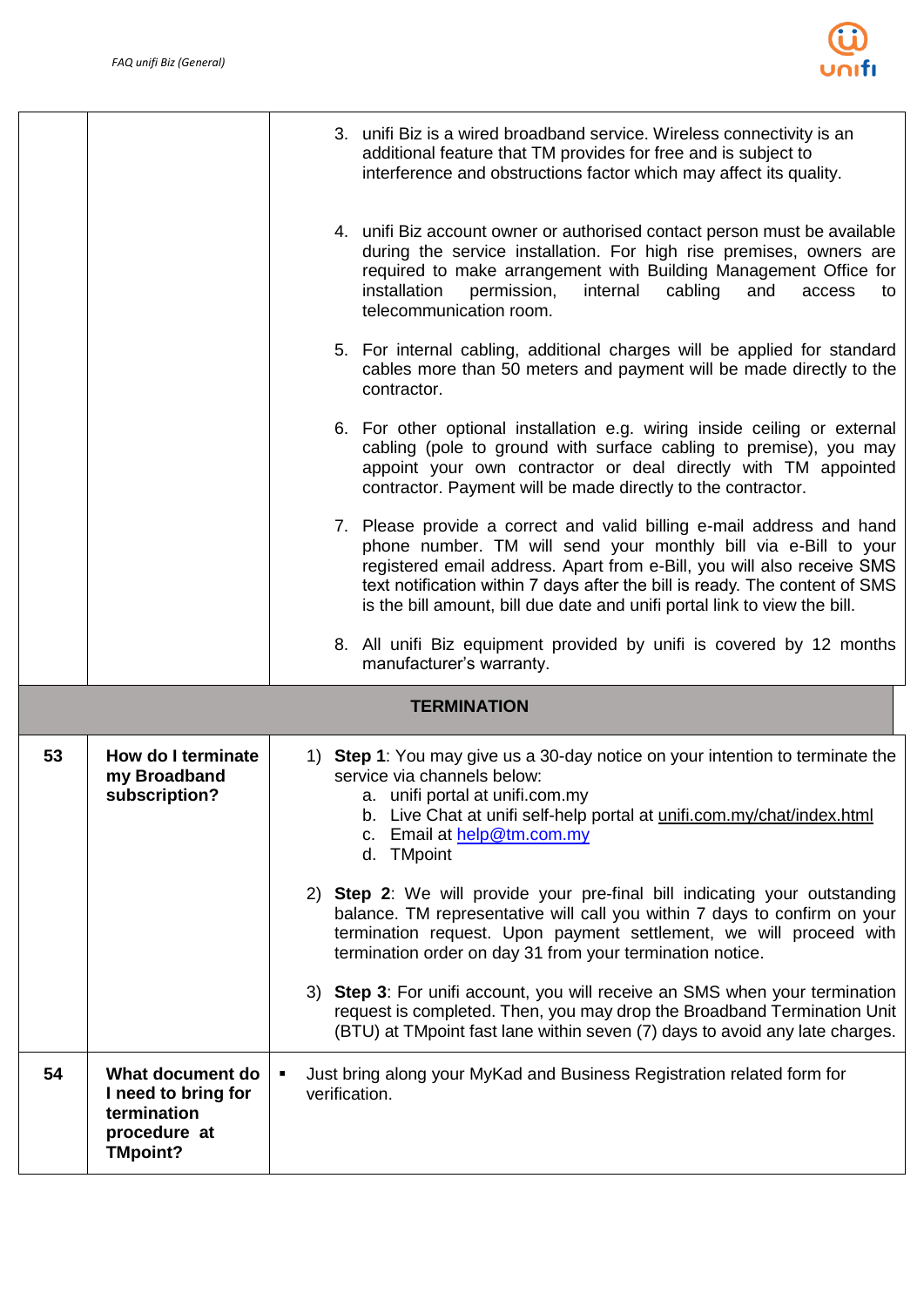

|                    |                                                                                           | 3. unifi Biz is a wired broadband service. Wireless connectivity is an<br>additional feature that TM provides for free and is subject to<br>interference and obstructions factor which may affect its quality.                                                                                                                                                                 |  |  |  |  |  |
|--------------------|-------------------------------------------------------------------------------------------|--------------------------------------------------------------------------------------------------------------------------------------------------------------------------------------------------------------------------------------------------------------------------------------------------------------------------------------------------------------------------------|--|--|--|--|--|
|                    |                                                                                           | 4. unifi Biz account owner or authorised contact person must be available<br>during the service installation. For high rise premises, owners are<br>required to make arrangement with Building Management Office for<br>installation<br>internal<br>cabling<br>permission,<br>and<br>access<br>to<br>telecommunication room.                                                   |  |  |  |  |  |
|                    |                                                                                           | 5. For internal cabling, additional charges will be applied for standard<br>cables more than 50 meters and payment will be made directly to the<br>contractor.                                                                                                                                                                                                                 |  |  |  |  |  |
|                    |                                                                                           | 6. For other optional installation e.g. wiring inside ceiling or external<br>cabling (pole to ground with surface cabling to premise), you may<br>appoint your own contractor or deal directly with TM appointed<br>contractor. Payment will be made directly to the contractor.                                                                                               |  |  |  |  |  |
|                    |                                                                                           | 7. Please provide a correct and valid billing e-mail address and hand<br>phone number. TM will send your monthly bill via e-Bill to your<br>registered email address. Apart from e-Bill, you will also receive SMS<br>text notification within 7 days after the bill is ready. The content of SMS<br>is the bill amount, bill due date and unifi portal link to view the bill. |  |  |  |  |  |
|                    |                                                                                           | 8. All unifi Biz equipment provided by unifi is covered by 12 months<br>manufacturer's warranty.                                                                                                                                                                                                                                                                               |  |  |  |  |  |
| <b>TERMINATION</b> |                                                                                           |                                                                                                                                                                                                                                                                                                                                                                                |  |  |  |  |  |
| 53                 | How do I terminate<br>my Broadband<br>subscription?                                       | 1) Step 1: You may give us a 30-day notice on your intention to terminate the<br>service via channels below:<br>a. unifi portal at unifi.com.my<br>b. Live Chat at unifi self-help portal at unifi.com.my/chat/index.html<br>c. Email at help@tm.com.my<br>d. TMpoint                                                                                                          |  |  |  |  |  |
|                    |                                                                                           | 2) Step 2: We will provide your pre-final bill indicating your outstanding<br>balance. TM representative will call you within 7 days to confirm on your<br>termination request. Upon payment settlement, we will proceed with<br>termination order on day 31 from your termination notice.                                                                                     |  |  |  |  |  |
|                    |                                                                                           | Step 3: For unifi account, you will receive an SMS when your termination<br>3)<br>request is completed. Then, you may drop the Broadband Termination Unit<br>(BTU) at TMpoint fast lane within seven (7) days to avoid any late charges.                                                                                                                                       |  |  |  |  |  |
| 54                 | What document do<br>I need to bring for<br>termination<br>procedure at<br><b>TMpoint?</b> | Just bring along your MyKad and Business Registration related form for<br>$\blacksquare$<br>verification.                                                                                                                                                                                                                                                                      |  |  |  |  |  |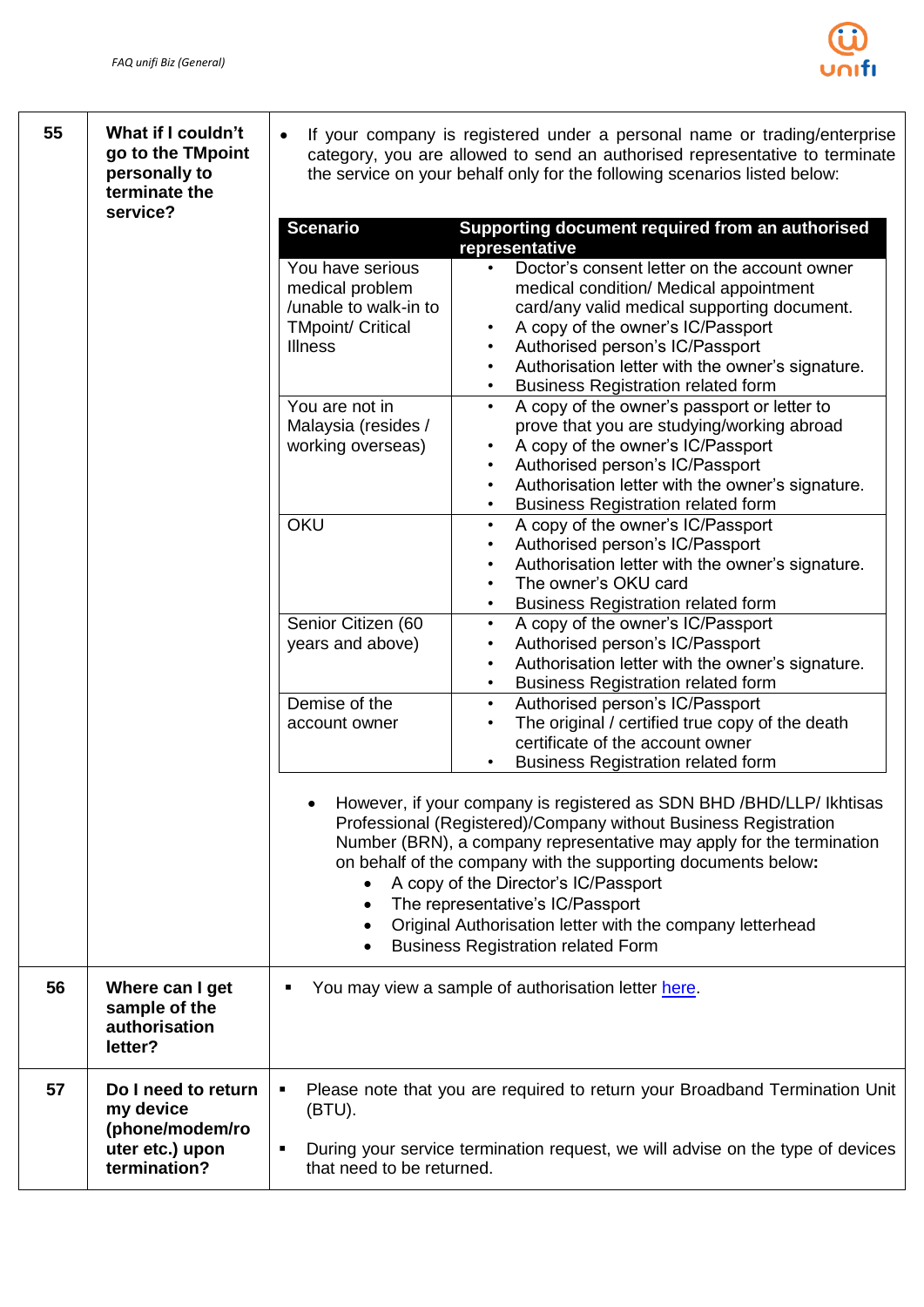

| 55 | What if I couldn't<br>go to the TMpoint<br>personally to<br>terminate the<br>service?  | If your company is registered under a personal name or trading/enterprise<br>category, you are allowed to send an authorised representative to terminate<br>the service on your behalf only for the following scenarios listed below:                                                                                                                                                                                                                                   |                                                                                                                                                                                                                                                                                                                             |  |  |
|----|----------------------------------------------------------------------------------------|-------------------------------------------------------------------------------------------------------------------------------------------------------------------------------------------------------------------------------------------------------------------------------------------------------------------------------------------------------------------------------------------------------------------------------------------------------------------------|-----------------------------------------------------------------------------------------------------------------------------------------------------------------------------------------------------------------------------------------------------------------------------------------------------------------------------|--|--|
|    |                                                                                        | <b>Scenario</b>                                                                                                                                                                                                                                                                                                                                                                                                                                                         | Supporting document required from an authorised<br>representative                                                                                                                                                                                                                                                           |  |  |
|    |                                                                                        | You have serious<br>medical problem<br>/unable to walk-in to<br><b>TMpoint/ Critical</b><br>Illness                                                                                                                                                                                                                                                                                                                                                                     | Doctor's consent letter on the account owner<br>medical condition/ Medical appointment<br>card/any valid medical supporting document.<br>A copy of the owner's IC/Passport<br>Authorised person's IC/Passport<br>Authorisation letter with the owner's signature.<br>$\bullet$<br><b>Business Registration related form</b> |  |  |
|    |                                                                                        | You are not in<br>Malaysia (resides /<br>working overseas)                                                                                                                                                                                                                                                                                                                                                                                                              | A copy of the owner's passport or letter to<br>$\bullet$<br>prove that you are studying/working abroad<br>A copy of the owner's IC/Passport<br>Authorised person's IC/Passport<br>Authorisation letter with the owner's signature.<br><b>Business Registration related form</b>                                             |  |  |
|    |                                                                                        | OKU                                                                                                                                                                                                                                                                                                                                                                                                                                                                     | A copy of the owner's IC/Passport<br>$\bullet$<br>Authorised person's IC/Passport<br>Authorisation letter with the owner's signature.<br>The owner's OKU card<br><b>Business Registration related form</b>                                                                                                                  |  |  |
|    |                                                                                        | Senior Citizen (60<br>years and above)                                                                                                                                                                                                                                                                                                                                                                                                                                  | A copy of the owner's IC/Passport<br>$\bullet$<br>Authorised person's IC/Passport<br>$\bullet$<br>Authorisation letter with the owner's signature.<br>$\bullet$<br><b>Business Registration related form</b>                                                                                                                |  |  |
|    |                                                                                        | Demise of the<br>account owner                                                                                                                                                                                                                                                                                                                                                                                                                                          | Authorised person's IC/Passport<br>$\bullet$<br>The original / certified true copy of the death<br>certificate of the account owner<br><b>Business Registration related form</b>                                                                                                                                            |  |  |
|    |                                                                                        | However, if your company is registered as SDN BHD / BHD/LLP/ Ikhtisas<br>Professional (Registered)/Company without Business Registration<br>Number (BRN), a company representative may apply for the termination<br>on behalf of the company with the supporting documents below:<br>A copy of the Director's IC/Passport<br>The representative's IC/Passport<br>Original Authorisation letter with the company letterhead<br><b>Business Registration related Form</b> |                                                                                                                                                                                                                                                                                                                             |  |  |
| 56 | Where can I get<br>sample of the<br>authorisation<br>letter?                           |                                                                                                                                                                                                                                                                                                                                                                                                                                                                         | You may view a sample of authorisation letter here.                                                                                                                                                                                                                                                                         |  |  |
| 57 | Do I need to return<br>my device<br>(phone/modem/ro<br>uter etc.) upon<br>termination? | Please note that you are required to return your Broadband Termination Unit<br>П<br>(BTU).                                                                                                                                                                                                                                                                                                                                                                              |                                                                                                                                                                                                                                                                                                                             |  |  |
|    |                                                                                        | $\blacksquare$<br>that need to be returned.                                                                                                                                                                                                                                                                                                                                                                                                                             | During your service termination request, we will advise on the type of devices                                                                                                                                                                                                                                              |  |  |